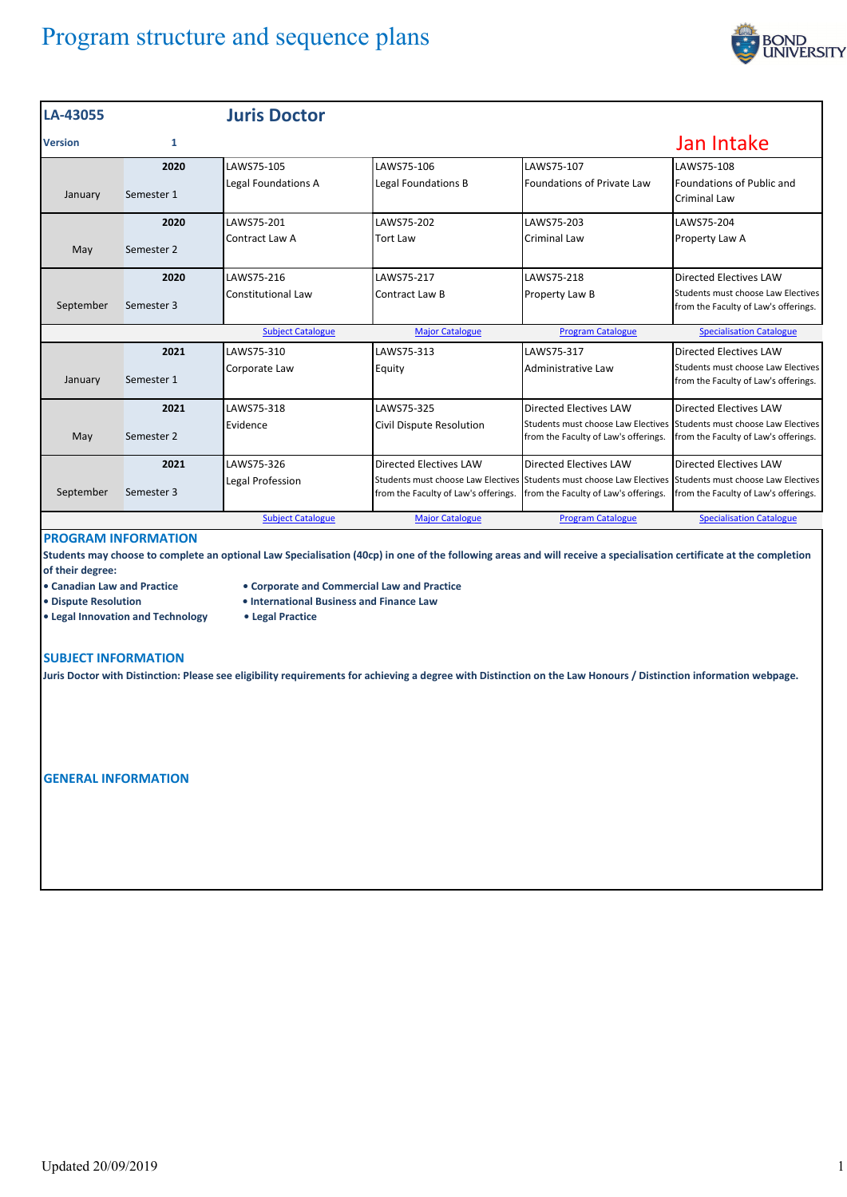

| LA-43055       |            | <b>Juris Doctor</b>      |                                      |                                                                                                                                                  |                                                                            |
|----------------|------------|--------------------------|--------------------------------------|--------------------------------------------------------------------------------------------------------------------------------------------------|----------------------------------------------------------------------------|
| <b>Version</b> | 1          |                          |                                      |                                                                                                                                                  | Jan Intake                                                                 |
|                | 2020       | LAWS75-105               | LAWS75-106                           | LAWS75-107                                                                                                                                       | LAWS75-108                                                                 |
| January        | Semester 1 | Legal Foundations A      | Legal Foundations B                  | Foundations of Private Law                                                                                                                       | Foundations of Public and<br>Criminal Law                                  |
|                | 2020       | LAWS75-201               | LAWS75-202                           | LAWS75-203                                                                                                                                       | LAWS75-204                                                                 |
| May            | Semester 2 | Contract Law A           | <b>Tort Law</b>                      | <b>Criminal Law</b>                                                                                                                              | Property Law A                                                             |
|                | 2020       | LAWS75-216               | LAWS75-217                           | LAWS75-218                                                                                                                                       | <b>Directed Electives LAW</b>                                              |
| September      | Semester 3 | Constitutional Law       | Contract Law B                       | Property Law B                                                                                                                                   | Students must choose Law Electives<br>from the Faculty of Law's offerings. |
|                |            | <b>Subject Catalogue</b> | <b>Major Catalogue</b>               | <b>Program Catalogue</b>                                                                                                                         | <b>Specialisation Catalogue</b>                                            |
|                | 2021       | LAWS75-310               | LAWS75-313                           | LAWS75-317                                                                                                                                       | <b>Directed Electives LAW</b>                                              |
| January        | Semester 1 | Corporate Law            | Equity                               | Administrative Law                                                                                                                               | Students must choose Law Electives<br>from the Faculty of Law's offerings. |
|                | 2021       | LAWS75-318               | LAWS75-325                           | Directed Electives LAW                                                                                                                           | Directed Electives LAW                                                     |
| May            | Semester 2 | Evidence                 | Civil Dispute Resolution             | Students must choose Law Electives Students must choose Law Electives<br>from the Faculty of Law's offerings.                                    | from the Faculty of Law's offerings.                                       |
|                | 2021       | LAWS75-326               | Directed Electives LAW               | Directed Electives LAW                                                                                                                           | Directed Electives LAW                                                     |
| September      | Semester 3 | Legal Profession         | from the Faculty of Law's offerings. | Students must choose Law Electives Students must choose Law Electives Students must choose Law Electives<br>from the Faculty of Law's offerings. | from the Faculty of Law's offerings.                                       |
|                |            | <b>Subject Catalogue</b> | <b>Major Catalogue</b>               | <b>Program Catalogue</b>                                                                                                                         | <b>Specialisation Catalogue</b>                                            |

## **PROGRAM INFORMATION**

**Students may choose to complete an optional Law Specialisation (40cp) in one of the following areas and will receive a specialisation certificate at the completion of their degree:**

- **Canadian Law and Practice Corporate and Commercial Law and Practice**
- **Dispute Resolution • International Business and Finance Law**
- **Legal Innovation and Technology Legal Practice**
- **SUBJECT INFORMATION**

**Juris Doctor with Distinction: Please see eligibility requirements for achieving a degree with Distinction on the Law Honours / Distinction information webpage.**

**GENERAL INFORMATION**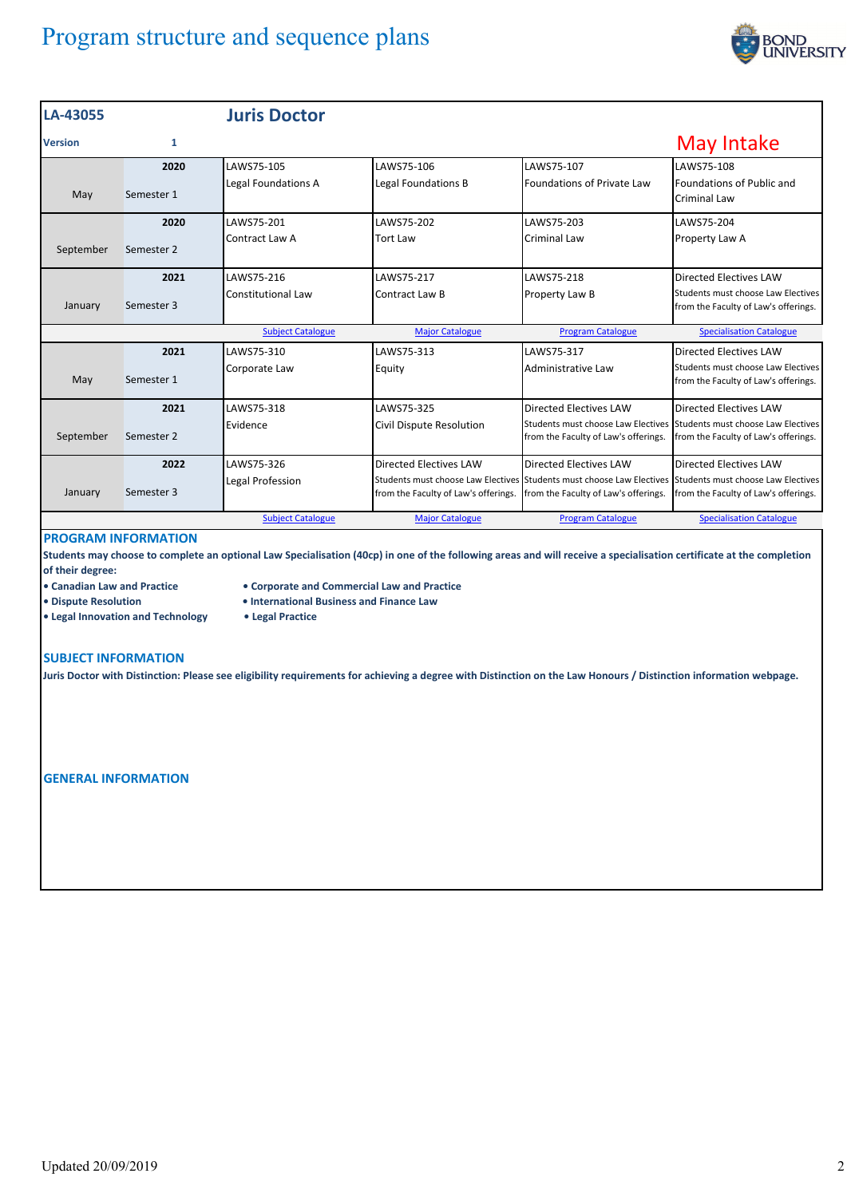

| LA-43055       |            | <b>Juris Doctor</b>      |                                      |                                                                                                                                                  |                                                                            |
|----------------|------------|--------------------------|--------------------------------------|--------------------------------------------------------------------------------------------------------------------------------------------------|----------------------------------------------------------------------------|
| <b>Version</b> | 1          |                          |                                      |                                                                                                                                                  | May Intake                                                                 |
|                | 2020       | LAWS75-105               | LAWS75-106                           | LAWS75-107                                                                                                                                       | LAWS75-108                                                                 |
| May            | Semester 1 | Legal Foundations A      | Legal Foundations B                  | Foundations of Private Law                                                                                                                       | Foundations of Public and<br>Criminal Law                                  |
|                | 2020       | LAWS75-201               | LAWS75-202                           | LAWS75-203                                                                                                                                       | LAWS75-204                                                                 |
| September      | Semester 2 | Contract Law A           | <b>Tort Law</b>                      | Criminal Law                                                                                                                                     | Property Law A                                                             |
|                | 2021       | LAWS75-216               | LAWS75-217                           | LAWS75-218                                                                                                                                       | Directed Electives LAW                                                     |
| January        | Semester 3 | Constitutional Law       | Contract Law B                       | Property Law B                                                                                                                                   | Students must choose Law Electives<br>from the Faculty of Law's offerings. |
|                |            | <b>Subject Catalogue</b> | <b>Major Catalogue</b>               | <b>Program Catalogue</b>                                                                                                                         | <b>Specialisation Catalogue</b>                                            |
|                | 2021       | LAWS75-310               | LAWS75-313                           | LAWS75-317                                                                                                                                       | Directed Electives LAW                                                     |
| May            | Semester 1 | Corporate Law            | Equity                               | Administrative Law                                                                                                                               | Students must choose Law Electives<br>from the Faculty of Law's offerings. |
|                | 2021       | LAWS75-318               | LAWS75-325                           | Directed Electives LAW                                                                                                                           | <b>Directed Electives LAW</b>                                              |
| September      | Semester 2 | Evidence                 | Civil Dispute Resolution             | Students must choose Law Electives Students must choose Law Electives<br>from the Faculty of Law's offerings.                                    | from the Faculty of Law's offerings.                                       |
|                | 2022       | LAWS75-326               | <b>Directed Electives LAW</b>        | Directed Electives LAW                                                                                                                           | Directed Electives LAW                                                     |
| January        | Semester 3 | Legal Profession         | from the Faculty of Law's offerings. | Students must choose Law Electives Students must choose Law Electives Students must choose Law Electives<br>from the Faculty of Law's offerings. | from the Faculty of Law's offerings.                                       |
|                |            | <b>Subject Catalogue</b> | <b>Major Catalogue</b>               | <b>Program Catalogue</b>                                                                                                                         | <b>Specialisation Catalogue</b>                                            |

## **PROGRAM INFORMATION**

**Students may choose to complete an optional Law Specialisation (40cp) in one of the following areas and will receive a specialisation certificate at the completion of their degree:**

- **Canadian Law and Practice Corporate and Commercial Law and Practice**
- **Dispute Resolution • International Business and Finance Law**
- **Legal Innovation and Technology Legal Practice**
- 

**SUBJECT INFORMATION**

**Juris Doctor with Distinction: Please see eligibility requirements for achieving a degree with Distinction on the Law Honours / Distinction information webpage.**

**GENERAL INFORMATION**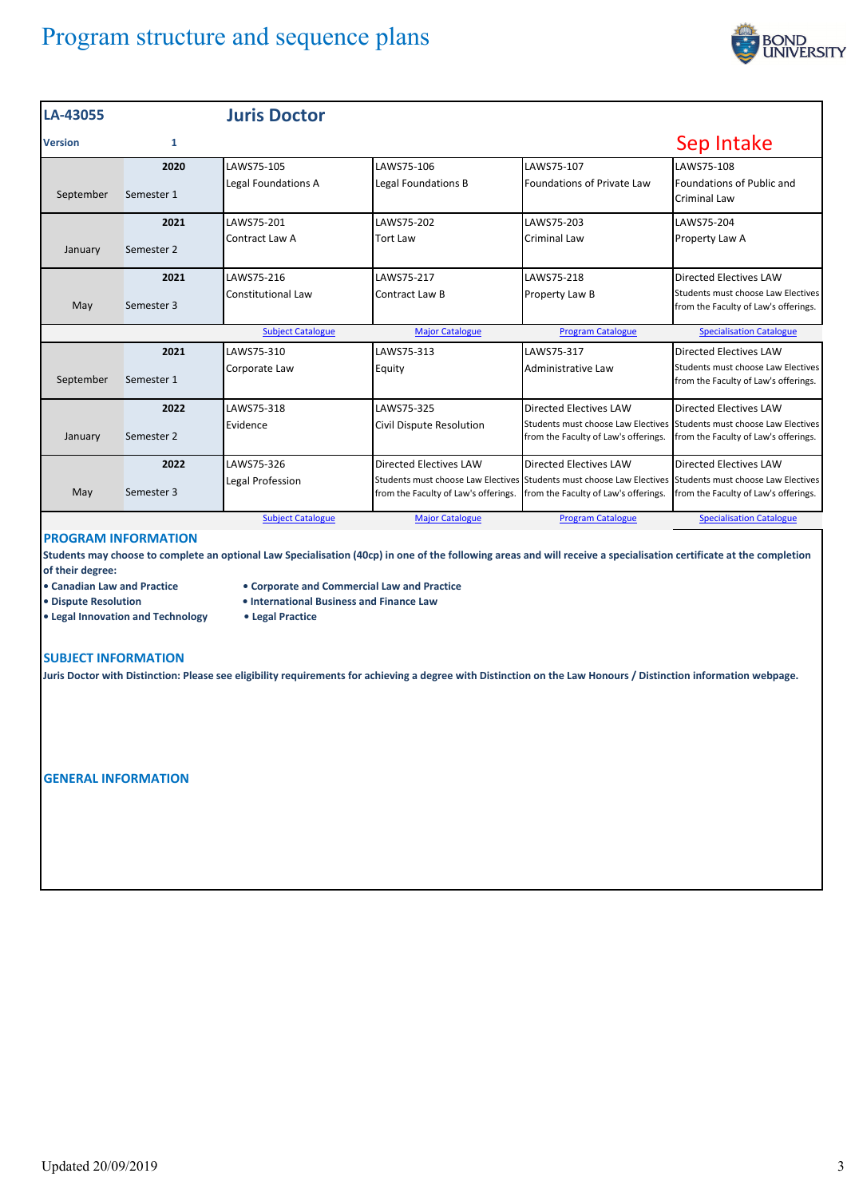

| LA-43055       |            | <b>Juris Doctor</b>       |                                      |                                                                                                                                                  |                                                                            |
|----------------|------------|---------------------------|--------------------------------------|--------------------------------------------------------------------------------------------------------------------------------------------------|----------------------------------------------------------------------------|
| <b>Version</b> | 1          |                           |                                      |                                                                                                                                                  | Sep Intake                                                                 |
|                | 2020       | LAWS75-105                | LAWS75-106                           | LAWS75-107                                                                                                                                       | LAWS75-108                                                                 |
| September      | Semester 1 | Legal Foundations A       | Legal Foundations B                  | Foundations of Private Law                                                                                                                       | Foundations of Public and<br>Criminal Law                                  |
|                | 2021       | LAWS75-201                | LAWS75-202                           | LAWS75-203                                                                                                                                       | LAWS75-204                                                                 |
| January        | Semester 2 | Contract Law A            | <b>Tort Law</b>                      | Criminal Law                                                                                                                                     | Property Law A                                                             |
|                | 2021       | LAWS75-216                | LAWS75-217                           | LAWS75-218                                                                                                                                       | <b>Directed Electives LAW</b>                                              |
| May            | Semester 3 | <b>Constitutional Law</b> | Contract Law B                       | Property Law B                                                                                                                                   | Students must choose Law Electives<br>from the Faculty of Law's offerings. |
|                |            | <b>Subject Catalogue</b>  | <b>Major Catalogue</b>               | <b>Program Catalogue</b>                                                                                                                         | <b>Specialisation Catalogue</b>                                            |
|                | 2021       | LAWS75-310                | LAWS75-313                           | LAWS75-317                                                                                                                                       | <b>Directed Electives LAW</b>                                              |
| September      | Semester 1 | Corporate Law             | Equity                               | Administrative Law                                                                                                                               | Students must choose Law Electives<br>from the Faculty of Law's offerings. |
|                | 2022       | LAWS75-318                | LAWS75-325                           | Directed Electives LAW                                                                                                                           | Directed Electives LAW                                                     |
| January        | Semester 2 | Evidence                  | Civil Dispute Resolution             | Students must choose Law Electives Students must choose Law Electives<br>from the Faculty of Law's offerings.                                    | from the Faculty of Law's offerings.                                       |
|                | 2022       | LAWS75-326                | Directed Electives LAW               | Directed Electives LAW                                                                                                                           | Directed Electives LAW                                                     |
| May            | Semester 3 | Legal Profession          | from the Faculty of Law's offerings. | Students must choose Law Electives Students must choose Law Electives Students must choose Law Electives<br>from the Faculty of Law's offerings. | from the Faculty of Law's offerings.                                       |
|                |            | <b>Subject Catalogue</b>  | <b>Major Catalogue</b>               | <b>Program Catalogue</b>                                                                                                                         | <b>Specialisation Catalogue</b>                                            |

# **PROGRAM INFORMATION**

**Students may choose to complete an optional Law Specialisation (40cp) in one of the following areas and will receive a specialisation certificate at the completion of their degree:**

- **Canadian Law and Practice Corporate and Commercial Law and Practice**
	-
- 
- 
- 
- 
- 
- 
- **Legal Innovation and Technology Legal Practice**
- **Dispute Resolution • International Business and Finance Law**
	-

#### **SUBJECT INFORMATION**

**Juris Doctor with Distinction: Please see eligibility requirements for achieving a degree with Distinction on the Law Honours / Distinction information webpage.**

**GENERAL INFORMATION**